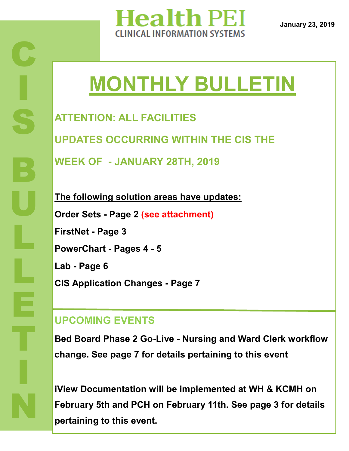

**January 23, 2019**

# **MONTHLY BULLETIN**

**ATTENTION: ALL FACILITIES UPDATES OCCURRING WITHIN THE CIS THE WEEK OF - JANUARY 28TH, 2019**

**The following solution areas have updates: Order Sets - Page 2 (see attachment) FirstNet - Page 3 PowerChart - Pages 4 - 5 Lab - Page 6 CIS Application Changes - Page 7**

#### **UPCOMING EVENTS**

**Bed Board Phase 2 Go-Live - Nursing and Ward Clerk workflow change. See page 7 for details pertaining to this event**

**iView Documentation will be implemented at WH & KCMH on February 5th and PCH on February 11th. See page 3 for details pertaining to this event.**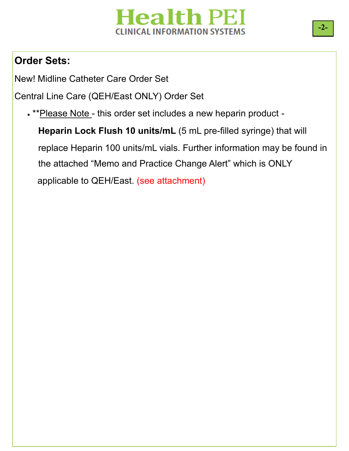#### **Order Sets:**

New! Midline Catheter Care Order Set

Central Line Care (QEH/East ONLY) Order Set

. \*\* Please Note - this order set includes a new heparin product -

 **Heparin Lock Flush 10 units/mL** (5 mL pre-filled syringe) that will replace Heparin 100 units/mL vials. Further information may be found in the attached "Memo and Practice Change Alert" which is ONLY applicable to QEH/East. (see attachment)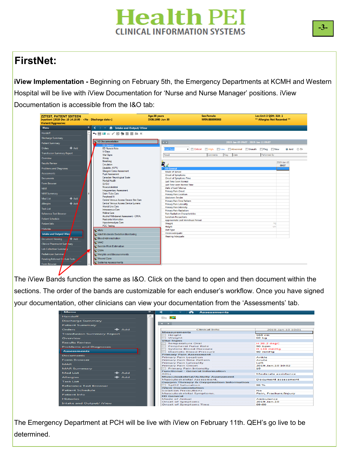### **FirstNet:**

**iView Implementation -** Beginning on February 5th, the Emergency Departments at KCMH and Western Hospital will be live with iView Documentation for 'Nurse and Nurse Manager' positions. iView Documentation is accessible from the I&O tab:

| <b>ZZTEST, PATIENT SIXTEEN</b><br>Violent/Aggressive: |              | Inpatient [2018-Dec-10 14:10:00 - <no -="" date="" discharge="">]</no> | Age:38 years<br>DOB:1980-Jun-30                               | <b>Sex:Female</b><br>MRN:888000863 | Loc:Unit 3 QEH; 319; 1<br>** Allergies Not Recorded ** |
|-------------------------------------------------------|--------------|------------------------------------------------------------------------|---------------------------------------------------------------|------------------------------------|--------------------------------------------------------|
| <b>Menu</b>                                           |              | ← ↑ Intake and Output/ iView                                           |                                                               |                                    |                                                        |
| Handoff                                               |              | %目団☆/約600目前×                                                           |                                                               |                                    |                                                        |
| <b>Discharge Summary</b>                              |              |                                                                        |                                                               |                                    |                                                        |
| <b>Patient Summary</b>                                |              | <b>ED Documentation</b>                                                | $\leftarrow$                                                  |                                    | 2019-Jan-09 09:07 - 2019-Jan-11 09:07                  |
| <b>Orders</b>                                         | <b>+</b> Add | <b>ED</b> General<br><b>ED Nurse's Note</b>                            | <b>Find Item</b>                                              | V Critical High Now Abnormal       | Unauth Flag New<br>And Or                              |
| <b>Transfusion Summary Report</b>                     |              | <b>IV Drips</b>                                                        |                                                               |                                    |                                                        |
|                                                       |              | <b>Vital Signs</b>                                                     | Result                                                        | Date<br>Comments<br>Flag           | Performed By                                           |
| Overview                                              |              | Airway<br>Breathing                                                    |                                                               |                                    |                                                        |
| <b>Results Review</b>                                 |              | Circulation                                                            | 豐∡                                                            |                                    | 2019-Jan-10<br>09:07                                   |
| <b>Problems and Diagnoses</b>                         |              | Disability: AVPU                                                       | ⊿ ED General                                                  |                                    |                                                        |
| <b>Assessments</b>                                    |              | Glasgow Coma Assessment                                                | <b>Mode of Arrival</b>                                        |                                    |                                                        |
|                                                       |              | <b>Pupil Assessment</b><br>Canadian Neurological Scale                 | <b>Onset of Symptoms</b>                                      |                                    |                                                        |
| <b>Documents</b>                                      |              | Mental Health                                                          | <b>Onset of Symptoms Time</b><br><b>Last Time Seen Normal</b> |                                    |                                                        |
| <b>Form Browser</b>                                   |              | GI/GU                                                                  | <b>Last Time seen Normal Time</b>                             |                                    |                                                        |
| <b>MAR</b>                                            |              | Musculoskeletal                                                        | Date of Last Tetanus                                          |                                    |                                                        |
|                                                       |              | <b>Integumentary Assessment</b>                                        | <b>Primary Pain Onset</b>                                     |                                    |                                                        |
| <b>MAR Summary</b>                                    |              | Drain/Tube Care<br>Peripheral IV                                       | <b>Primary Pain Location</b>                                  |                                    |                                                        |
| <b>Med List</b>                                       | $#$ Add      | Central Venous Access Device Site Care                                 | <b>Abdomen Tender</b>                                         |                                    |                                                        |
| <b>Allergies</b>                                      | $#$ Add      | Central Venous Access Device Lumens                                    | Primary Pain Time Pattern<br><b>Primary Pain Laterality</b>   |                                    |                                                        |
|                                                       |              | Arterial Line Care                                                     | <b>Primary Pain Intensity</b>                                 |                                    |                                                        |
| <b>Task List</b>                                      |              | Intraosseous Care                                                      | <b>Primary Pain Radiation</b>                                 |                                    |                                                        |
| <b>Reference Text Browser</b>                         |              | <b>Midline Care</b><br>Alcohol Withdrawal Assessment - CIWA.           | <b>Pain Radiation Characteristics</b>                         |                                    |                                                        |
| <b>Patient Schedule</b>                               |              | Restraints Information                                                 | <b>Isolation Precautions</b>                                  |                                    |                                                        |
| <b>Patient Info</b>                                   |              | <b>Hypodemoclysis Care</b>                                             | Approximate Last Menstrual Period<br>Weight                   |                                    | k <sub>a</sub>                                         |
|                                                       |              | <b>POC Testing</b>                                                     | <b>Height</b>                                                 |                                    | cm                                                     |
| <b>Histories</b>                                      |              | ov vitals                                                              | Diet Type                                                     |                                    |                                                        |
| <b>Intake and Output/ iViev</b>                       |              | Adult Moderate Sedation Monitoring                                     | <b>Vision Adequate</b>                                        |                                    |                                                        |
| <b>Document Viewing</b>                               | <b>Add</b>   | Siend Administration                                                   | <b>Hearing Adequate</b>                                       |                                    |                                                        |
|                                                       |              | <b>WAAC</b>                                                            |                                                               |                                    |                                                        |
| Clinical Pharmacist Sumanov                           |              | Suicide Risk Estimation                                                |                                                               |                                    |                                                        |
| Lab Collection Summa                                  |              | <b>CIWA</b>                                                            |                                                               |                                    |                                                        |
| Pediatrician Summan                                   |              | Weights and Measurements                                               |                                                               |                                    |                                                        |
| Pending Referred Or t Lab Tests                       |              | Wound Care                                                             |                                                               |                                    |                                                        |
| Form Browser                                          |              | Systems Assessments                                                    |                                                               |                                    |                                                        |

sections. The order of the bands are customizable for each enduser's workflow. Once you have signed The iView Bands function the same as I&O. Click on the band to open and then document within the your documentation, other clinicians can view your documentation from the 'Assessments' tab.

| $\sim$ menu                       |              | ~<br>T <b>H</b> Assessments                                    |                            |  |
|-----------------------------------|--------------|----------------------------------------------------------------|----------------------------|--|
| Handoff                           |              | 指出 <b>EX</b>                                                   |                            |  |
| <b>Discharge Summary</b>          |              |                                                                |                            |  |
| <b>Patient Summary</b>            |              | $-$                                                            |                            |  |
| Orders                            | $+$ Add      | <b>Clinical Info</b>                                           | 2019-Jan-10 10:01          |  |
| <b>Transfusion Summary Report</b> |              | <b>Measurements</b>                                            |                            |  |
|                                   |              | Height                                                         | $168$ cm                   |  |
| Overview                          |              | Weight                                                         | 60 kg                      |  |
| <b>Results Review</b>             |              | <b>Vital Signs</b>                                             |                            |  |
|                                   |              | <b>Temperature Oral</b>                                        | H 38.2 degC                |  |
| <b>Problems and Diagnoses</b>     |              | <b>Peripheral Pulse Rate</b><br><b>Systolic Blood Pressure</b> | 90 bpm<br><b>H148 mmHg</b> |  |
| <b>Assessments</b>                |              | <b>Diastolic Blood Pressure</b>                                | 90 mmHg                    |  |
|                                   |              | <b>Primary Pain Assessment</b>                                 |                            |  |
| <b>Documents</b>                  |              | <b>Primary Pain Location</b>                                   | Ankle                      |  |
| <b>Form Browser</b>               |              | Primary Pain Time Pattern                                      | Acute                      |  |
| <b>MAR</b>                        |              | <b>Primary Pain Laterality</b>                                 | Left                       |  |
|                                   |              | <b>Primary Pain Onset</b>                                      | 2019-Jan-10 10:02          |  |
| <b>MAR Summary</b>                | ≡            | <b>Primary Pain Intensity</b>                                  | 10                         |  |
| <b>Med List</b>                   | $+$ Add      | <b>Functional - General Information</b>                        |                            |  |
|                                   |              | <b>ADLS</b>                                                    | Moderate assistance        |  |
| <b>Allergies</b>                  | <b>+</b> Add | <b>Musculoskeletal/Activity Assessment</b>                     |                            |  |
| <b>Task List</b>                  |              | Musculoskeletal Assessment.                                    | Document assessment        |  |
|                                   |              | Oxygen Therapy & Oxygenation Information                       |                            |  |
| <b>Reference Text Browser</b>     |              | SpO2 Saturation<br><b>iView Documentation</b>                  | 98 %                       |  |
| <b>Patient Schedule</b>           |              | <b>Isolation Precautions</b>                                   | No.                        |  |
|                                   |              | Musculoskeletal Symptoms.                                      | Pain, Fracture/Injury      |  |
| <b>Patient Info</b>               |              | <b>ED General</b>                                              |                            |  |
| <b>Histories</b>                  |              | Mode of Arrival                                                | Ambulance                  |  |
|                                   |              | Onset of Symptoms                                              | 2019-Jan-10                |  |
| Intake and Output/ iView          |              | Onset of Symptoms Time                                         | 09:00                      |  |

The Emergency Department at PCH will be live with iView on February 11th. QEH's go live to be determined.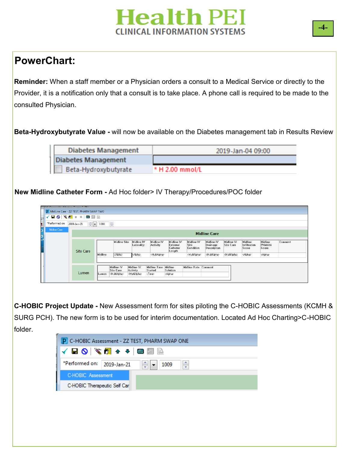#### **PowerChart:**

**Reminder:** When a staff member or a Physician orders a consult to a Medical Service or directly to the Provider, it is a notification only that a consult is to take place. A phone call is required to be made to the consulted Physician.

**Beta-Hydroxybutyrate Value -** will now be available on the Diabetes management tab in Results Review

| <b>Diabetes Management</b> | 2019-Jan-04 09:00 |
|----------------------------|-------------------|
| Diabetes Management        |                   |
| Beta-Hydroxybutyrate       | * H 2.00 mmol/L   |

**New Midline Catheter Form -** Ad Hoc folder> IV Therapy/Procedures/POC folder

|                                                                                            | EAE Ourseld by Marker, Terry F. DM       |                     |         |                                                      |                                                     |                                                 |                                               |                                 |                                       |                                |                                  |                                      |         |  |
|--------------------------------------------------------------------------------------------|------------------------------------------|---------------------|---------|------------------------------------------------------|-----------------------------------------------------|-------------------------------------------------|-----------------------------------------------|---------------------------------|---------------------------------------|--------------------------------|----------------------------------|--------------------------------------|---------|--|
|                                                                                            | P MidLine Care - ZZ TEST, PHARM SWAP TWO |                     |         |                                                      |                                                     |                                                 |                                               |                                 |                                       |                                |                                  |                                      |         |  |
|                                                                                            | ▎▎▊◔▏▓▛▏ક▝▏▆▓░                           |                     |         |                                                      |                                                     |                                                 |                                               |                                 |                                       |                                |                                  |                                      |         |  |
| *Performed on:<br>$\frac{\Delta}{\sqrt{2}}$<br>$\frac{1}{\sqrt{2}}$<br>2019-Jan-21<br>1008 |                                          |                     |         |                                                      |                                                     |                                                 |                                               |                                 |                                       |                                |                                  |                                      |         |  |
|                                                                                            | Midline Care                             |                     |         |                                                      |                                                     |                                                 |                                               |                                 |                                       |                                |                                  |                                      |         |  |
|                                                                                            |                                          | <b>Midline Care</b> |         |                                                      |                                                     |                                                 |                                               |                                 |                                       |                                |                                  |                                      |         |  |
|                                                                                            |                                          |                     |         |                                                      |                                                     |                                                 |                                               |                                 |                                       |                                |                                  |                                      |         |  |
|                                                                                            |                                          | Site Care           |         | Midline Site                                         | Midline IV<br>Laterality:                           | Midline IV<br>Activity                          | Midline IV<br>External<br>Catheter<br>Length  | Midline IV<br>Site<br>Condition | Midline IV<br>Drainage<br>Description | Midline IV<br><b>Site Care</b> | Midline<br>Infiltration<br>Score | Midline<br><b>Phlebitis</b><br>Score | Comment |  |
|                                                                                            |                                          |                     | Midline | <alpha></alpha>                                      | <alpha></alpha>                                     | <multialpha></multialpha>                       |                                               | <multialpha></multialpha>       | <multialpha></multialpha>             | <multialpha></multialpha>      | <alpha></alpha>                  | <alpha></alpha>                      |         |  |
|                                                                                            |                                          |                     |         |                                                      |                                                     |                                                 |                                               |                                 |                                       |                                |                                  |                                      |         |  |
|                                                                                            |                                          | Lumen               | Lumen   | Midline IV<br>Site Care<br><multialpha></multialpha> | Midline IV<br>Activity<br><multialpha></multialpha> | <b>Midline Time</b><br>Started<br><time></time> | Midline<br><b>Solution</b><br><alpha></alpha> | Midline Rate Comment            |                                       |                                |                                  |                                      |         |  |
|                                                                                            |                                          |                     |         |                                                      |                                                     |                                                 |                                               |                                 |                                       |                                |                                  |                                      |         |  |

**C-HOBIC Project Update -** New Assessment form for sites piloting the C-HOBIC Assessments (KCMH & SURG PCH). The new form is to be used for interim documentation. Located Ad Hoc Charting>C-HOBIC folder.

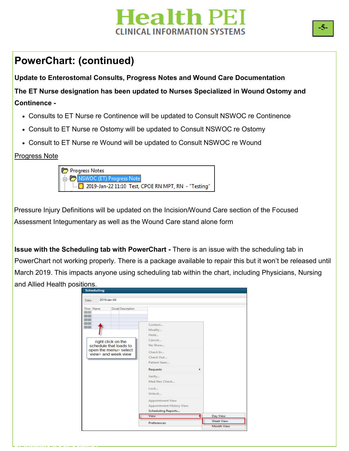#### **PowerChart: (continued)**

**Update to Enterostomal Consults, Progress Notes and Wound Care Documentation The ET Nurse designation has been updated to Nurses Specialized in Wound Ostomy and Continence -**

- Consults to ET Nurse re Continence will be updated to Consult NSWOC re Continence
- Consult to ET Nurse re Ostomy will be updated to Consult NSWOC re Ostomy
- Consult to ET Nurse re Wound will be updated to Consult NSWOC re Wound

Progress Note

**PLANNING ASSESSMENT** 

| Progress Notes                                      |
|-----------------------------------------------------|
| <b>D</b> NSWOC (ET) Progress Note                   |
| 2019-Jan-22 11:10 Test, CPOE RN MPT, RN - "Testing" |

Pressure Injury Definitions will be updated on the Incision/Wound Care section of the Focused Assessment Integumentary as well as the Wound Care stand alone form

**Issue with the Scheduling tab with PowerChart - There is an issue with the scheduling tab in** PowerChart not working properly. There is a package available to repair this but it won't be released until March 2019. This impacts anyone using scheduling tab within the chart, including Physicians, Nursing and Allied Health positions.

| <b>Scheduling</b>                                                                            |                                                                                            |                                                   |
|----------------------------------------------------------------------------------------------|--------------------------------------------------------------------------------------------|---------------------------------------------------|
| 2019-Jan-04<br>Date:                                                                         |                                                                                            |                                                   |
| Time Name<br>Durat Description<br>0000<br>0000<br>0000<br>0000<br>0000                       | Contact<br>Modify<br>Hold<br>Cancel                                                        |                                                   |
| right click on the<br>schedule that loads to<br>open the menu> select<br>view> and week view | No Show<br>Check In<br>Check Out<br>Patient Seen                                           |                                                   |
|                                                                                              | <b>Requests</b><br>٠<br>Verify<br>Med Nec Check<br>Lock                                    |                                                   |
|                                                                                              | Unlock<br><b>Appointment View</b><br>Appointment History View<br><b>Scheduling Reports</b> |                                                   |
|                                                                                              | View<br>Preferences                                                                        | Day View<br><b>Week View</b><br><b>Month View</b> |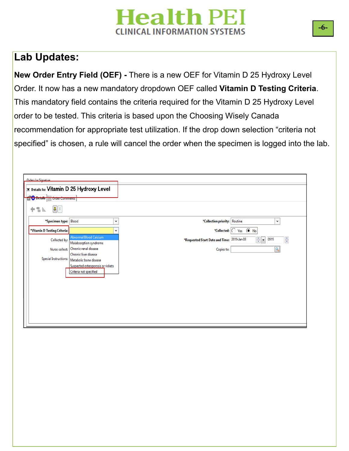#### **Lab Updates:**

**New Order Entry Field (OEF) -** There is a new OEF for Vitamin D 25 Hydroxy Level Order. It now has a new mandatory dropdown OEF called **Vitamin D Testing Criteria**. This mandatory field contains the criteria required for the Vitamin D 25 Hydroxy Level order to be tested. This criteria is based upon the Choosing Wisely Canada recommendation for appropriate test utilization. If the drop down selection "criteria not specified" is chosen, a rule will cancel the order when the specimen is logged into the lab.

|   | Orders for Signature                                                |                                                             |                                             |                                                             |  |  |  |  |  |  |
|---|---------------------------------------------------------------------|-------------------------------------------------------------|---------------------------------------------|-------------------------------------------------------------|--|--|--|--|--|--|
|   |                                                                     | E Details for Vitamin D 25 Hydroxy Level                    |                                             |                                                             |  |  |  |  |  |  |
|   | <b>BO</b> Details <b>Draw</b> Order Comments                        |                                                             |                                             |                                                             |  |  |  |  |  |  |
| ٠ | $\left\Vert \mathbf{U}\right\Vert \mathbf{V}$<br>$\overline{a}$ In. |                                                             |                                             |                                                             |  |  |  |  |  |  |
|   | *Specimen type: Blood                                               | $\check{~}$                                                 | *Collection priority: Routine               | $\check{~}$                                                 |  |  |  |  |  |  |
|   | *Vitamin D Testing Criteria:                                        | $\check{~}$                                                 |                                             | *Collected: O Yes (O No                                     |  |  |  |  |  |  |
|   | Collected by:                                                       | <b>Abnormal Blood Calcium</b><br>Malabsorption syndrome     | *Requested Start Date and Time: 2019-Jan-08 | $\frac{\Delta}{\mathbf{v}}$<br>$\frac{1}{\sqrt{2}}$<br>0915 |  |  |  |  |  |  |
|   | Nurse collect:                                                      | Chronic renal disease                                       | Copies to:                                  |                                                             |  |  |  |  |  |  |
|   | <b>Special Instructions:</b>                                        | Chronic liver disease<br>Metabolic bone disease             |                                             |                                                             |  |  |  |  |  |  |
|   |                                                                     | Suspected osteoporosis or rickets<br>Criteria not specified |                                             |                                                             |  |  |  |  |  |  |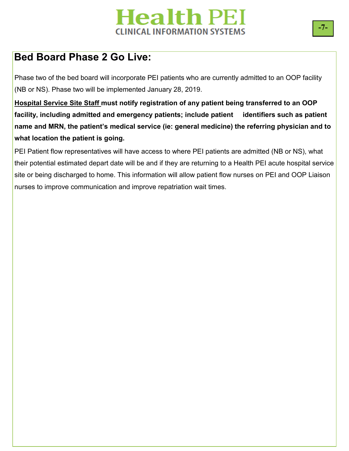#### **Bed Board Phase 2 Go Live:**

Phase two of the bed board will incorporate PEI patients who are currently admitted to an OOP facility (NB or NS). Phase two will be implemented January 28, 2019.

**Hospital Service Site Staff must notify registration of any patient being transferred to an OOP facility, including admitted and emergency patients; include patient identifiers such as patient name and MRN, the patient's medical service (ie: general medicine) the referring physician and to what location the patient is going.**

PEI Patient flow representatives will have access to where PEI patients are admitted (NB or NS), what their potential estimated depart date will be and if they are returning to a Health PEI acute hospital service site or being discharged to home. This information will allow patient flow nurses on PEI and OOP Liaison nurses to improve communication and improve repatriation wait times.